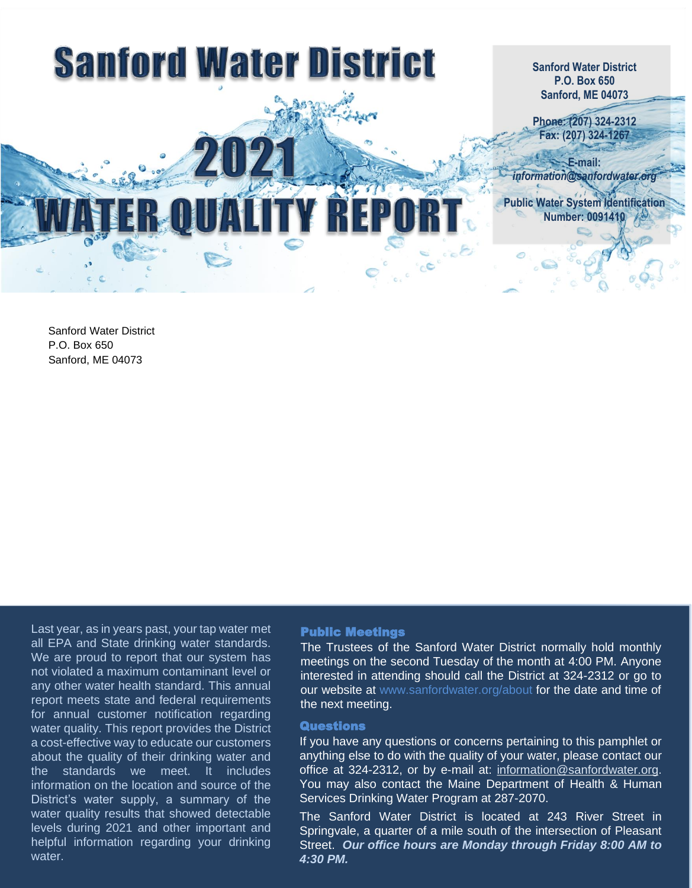

Sanford Water District P.O. Box 650 Sanford, ME 04073

Last year, as in years past, your tap water met all EPA and State drinking water standards. We are proud to report that our system has not violated a maximum contaminant level or any other water health standard. This annual report meets state and federal requirements for annual customer notification regarding water quality. This report provides the District a cost-effective way to educate our customers about the quality of their drinking water and the standards we meet. It includes information on the location and source of the District's water supply, a summary of the water quality results that showed detectable levels during 2021 and other important and helpful information regarding your drinking water

# Public Meetings

The Trustees of the Sanford Water District normally hold monthly meetings on the second Tuesday of the month at 4:00 PM. Anyone interested in attending should call the District at 324-2312 or go to our website at www.sanfordwater.org/about for the date and time of the next meeting.

### **Questions**

If you have any questions or concerns pertaining to this pamphlet or anything else to do with the quality of your water, please contact our office at 324-2312, or by e-[ma](mailto:information@sanfordwater.org)il at: information@sanfordwater.org. You may also contact the Maine Department of Health & Human Services Drinking Water Program at 287-2070.

The Sanford Water District is located at 243 River Street in Springvale, a quarter of a mile south of the intersection of Pleasant Street. *Our office hours are Monday through Friday 8:00 AM to 4:30 PM.*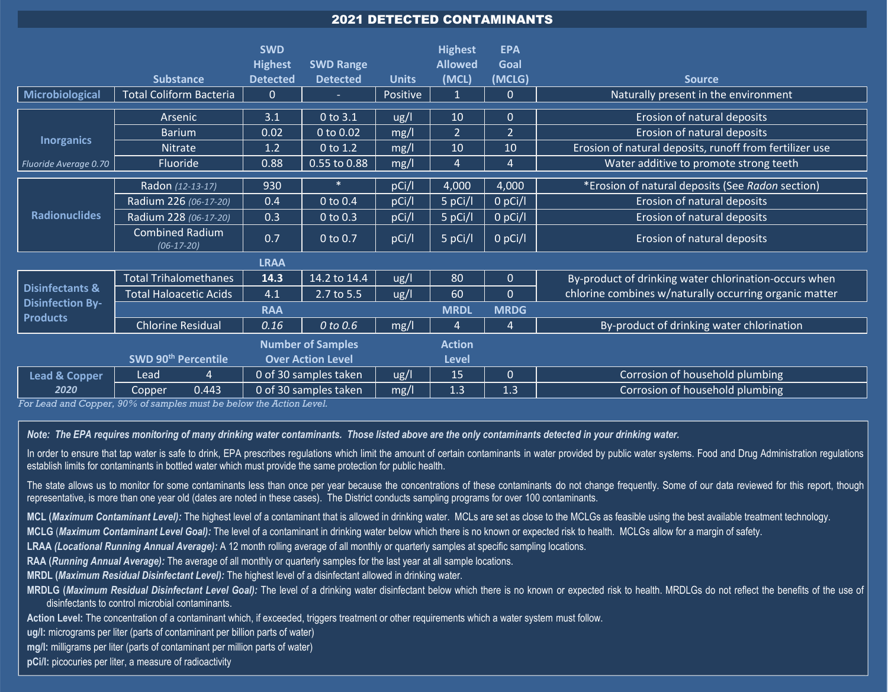# 2021 DETECTED CONTAMINANTS

|                                                                          |                                                             | <b>SWD</b><br><b>Highest</b> | <b>SWD Range</b> |              | <b>Highest</b><br><b>Allowed</b> | <b>EPA</b><br>Goal |                                                         |
|--------------------------------------------------------------------------|-------------------------------------------------------------|------------------------------|------------------|--------------|----------------------------------|--------------------|---------------------------------------------------------|
|                                                                          | <b>Substance</b>                                            | <b>Detected</b>              | <b>Detected</b>  | <b>Units</b> | (MCL)                            | (MCLG)             | <b>Source</b>                                           |
| Microbiological                                                          | <b>Total Coliform Bacteria</b>                              | $\mathbf{0}$                 | $\sim$           | Positive     | -1                               | $\Omega$           | Naturally present in the environment                    |
|                                                                          | Arsenic                                                     | 3.1                          | 0 to 3.1         | ug/l         | 10                               | $\Omega$           | Erosion of natural deposits                             |
| <b>Inorganics</b>                                                        | <b>Barium</b>                                               | 0.02                         | 0 to 0.02        | mg/l         | $\overline{2}$                   | $\overline{2}$     | Erosion of natural deposits                             |
|                                                                          | <b>Nitrate</b>                                              | 1.2                          | 0 to 1.2         | mg/l         | 10                               | 10                 | Erosion of natural deposits, runoff from fertilizer use |
| Fluoride Average 0.70                                                    | Fluoride                                                    | 0.88                         | 0.55 to 0.88     | mg/l         | $\overline{4}$                   | 4                  | Water additive to promote strong teeth                  |
| <b>Radionuclides</b>                                                     | Radon (12-13-17)                                            | 930                          | $\ast$           | pCi/l        | 4,000                            | 4,000              | *Erosion of natural deposits (See Radon section)        |
|                                                                          | Radium 226 (06-17-20)                                       | 0.4                          | 0 to 0.4         | pCi/l        | 5 pCi/l                          | $0$ pCi/l          | Erosion of natural deposits                             |
|                                                                          | Radium 228 (06-17-20)                                       | 0.3                          | 0 to 0.3         | pCi/l        | 5 pCi/l                          | 0 pCi/l            | Erosion of natural deposits                             |
|                                                                          | <b>Combined Radium</b><br>$(06-17-20)$                      | 0.7                          | 0 to 0.7         | pCi/l        | 5 pCi/l                          | $0$ pCi/l          | <b>Erosion of natural deposits</b>                      |
| <b>LRAA</b>                                                              |                                                             |                              |                  |              |                                  |                    |                                                         |
| <b>Disinfectants &amp;</b><br><b>Disinfection By-</b><br><b>Products</b> | <b>Total Trihalomethanes</b>                                | 14.3                         | 14.2 to 14.4     | ug/l         | 80                               | $\mathbf{0}$       | By-product of drinking water chlorination-occurs when   |
|                                                                          | <b>Total Haloacetic Acids</b>                               | 4.1                          | 2.7 to 5.5       | ug/l         | 60                               | $\overline{0}$     | chlorine combines w/naturally occurring organic matter  |
|                                                                          | <b>RAA</b>                                                  |                              |                  |              | <b>MRDL</b>                      | <b>MRDG</b>        |                                                         |
|                                                                          | <b>Chlorine Residual</b>                                    | 0.16                         | 0 to 0.6         | mg/l         | $\overline{4}$                   | $\overline{4}$     | By-product of drinking water chlorination               |
| <b>Number of Samples</b>                                                 |                                                             |                              |                  |              | <b>Action</b>                    |                    |                                                         |
|                                                                          | SWD 90 <sup>th</sup> Percentile<br><b>Over Action Level</b> |                              |                  |              | <b>Level</b>                     |                    |                                                         |
| <b>Lead &amp; Copper</b><br>2020                                         | Lead<br>4                                                   | 0 of 30 samples taken        |                  | ug/l         | 15                               | $\Omega$           | Corrosion of household plumbing                         |
|                                                                          | 0.443<br>Copper                                             | 0 of 30 samples taken        |                  | mg/l         | 1.3                              | 1.3                | Corrosion of household plumbing                         |

*For Lead and Copper, 90% of samples must be below the Action Level.*

*Note: The EPA requires monitoring of many drinking water contaminants. Those listed above are the only contaminants detected in your drinking water.*

In order to ensure that tap water is safe to drink, EPA prescribes regulations which limit the amount of certain contaminants in water provided by public water systems. Food and Drug Administration regulations establish limits for contaminants in bottled water which must provide the same protection for public health.

The state allows us to monitor for some contaminants less than once per year because the concentrations of these contaminants do not change frequently. Some of our data reviewed for this report, though representative, is more than one year old (dates are noted in these cases). The District conducts sampling programs for over 100 contaminants.

**MCL (***Maximum Contaminant Level):* The highest level of a contaminant that is allowed in drinking water. MCLs are set as close to the MCLGs as feasible using the best available treatment technology.

**MCLG** (*Maximum Contaminant Level Goal):* The level of a contaminant in drinking water below which there is no known or expected risk to health. MCLGs allow for a margin of safety.

**LRAA** *(Locational Running Annual Average):* A 12 month rolling average of all monthly or quarterly samples at specific sampling locations.

**RAA (***Running Annual Average):* The average of all monthly or quarterly samples for the last year at all sample locations.

**MRDL (***Maximum Residual Disinfectant Level):* The highest level of a disinfectant allowed in drinking water.

**MRDLG (***Maximum Residual Disinfectant Level Goal):* The level of a drinking water disinfectant below which there is no known or expected risk to health. MRDLGs do not reflect the benefits of the use of disinfectants to control microbial contaminants.

**Action Level:** The concentration of a contaminant which, if exceeded, triggers treatment or other requirements which a water system must follow.

**ug/l:** micrograms per liter (parts of contaminant per billion parts of water)

**mg/l:** milligrams per liter (parts of contaminant per million parts of water)

**pCi/l:** picocuries per liter, a measure of radioactivity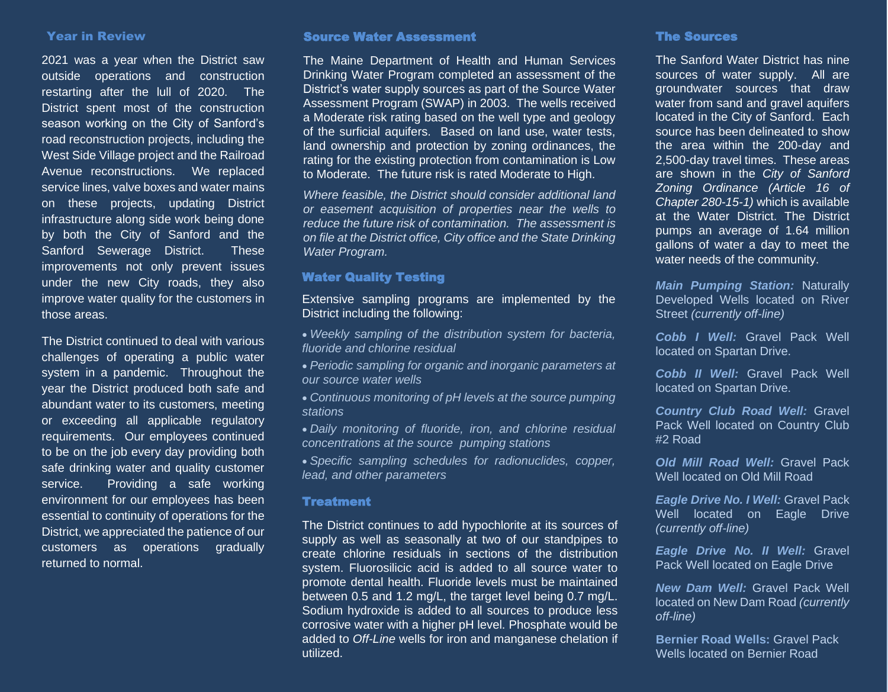#### Year in Review

2021 was a year when the District saw outside operations and construction restarting after the lull of 2020. The District spent most of the construction season working on the City of Sanford's road reconstruction projects, including the West Side Village project and the Railroad Avenue reconstructions. We replaced service lines, valve boxes and water mains on these projects, updating District infrastructure along side work being done by both the City of Sanford and the Sanford Sewerage District. These improvements not only prevent issues under the new City roads, they also improve water quality for the customers in those areas.

The District continued to deal with various challenges of operating a public water system in a pandemic. Throughout the year the District produced both safe and abundant water to its customers, meeting or exceeding all applicable regulatory requirements. Our employees continued to be on the job every day providing both safe drinking water and quality customer service. Providing a safe working environment for our employees has been essential to continuity of operations for the District, we appreciated the patience of our customers as operations gradually returned to normal.

# Source Water Assessment

The Maine Department of Health and Human Services Drinking Water Program completed an assessment of the District's water supply sources as part of the Source Water Assessment Program (SWAP) in 2003. The wells received a Moderate risk rating based on the well type and geology of the surficial aquifers. Based on land use, water tests, land ownership and protection by zoning ordinances, the rating for the existing protection from contamination is Low to Moderate. The future risk is rated Moderate to High.

*Where feasible, the District should consider additional land or easement acquisition of properties near the wells to reduce the future risk of contamination. The assessment is on file at the District office, City office and the State Drinking Water Program.*

# Water Quality Testing

Extensive sampling programs are implemented by the District including the following:

- *Weekly sampling of the distribution system for bacteria, fluoride and chlorine residual*
- *Periodic sampling for organic and inorganic parameters at our source water wells*
- *Continuous monitoring of pH levels at the source pumping stations*
- *Daily monitoring of fluoride, iron, and chlorine residual concentrations at the source pumping stations*
- *Specific sampling schedules for radionuclides, copper, lead, and other parameters*

## **Treatment**

The District continues to add hypochlorite at its sources of supply as well as seasonally at two of our standpipes to create chlorine residuals in sections of the distribution system. Fluorosilicic acid is added to all source water to promote dental health. Fluoride levels must be maintained between 0.5 and 1.2 mg/L, the target level being 0.7 mg/L. Sodium hydroxide is added to all sources to produce less corrosive water with a higher pH level. Phosphate would be added to *Off-Line* wells for iron and manganese chelation if utilized.

#### The Sources

The Sanford Water District has nine sources of water supply. All are groundwater sources that draw water from sand and gravel aquifers located in the City of Sanford. Each source has been delineated to show the area within the 200-day and 2,500-day travel times. These areas are shown in the *City of Sanford Zoning Ordinance (Article 16 of Chapter 280-15-1)* which is available at the Water District. The District pumps an average of 1.64 million gallons of water a day to meet the water needs of the community.

*Main Pumping Station:* Naturally Developed Wells located on River Street *(currently off-line)*

*Cobb I Well:* Gravel Pack Well located on Spartan Drive.

*Cobb II Well:* Gravel Pack Well located on Spartan Drive.

*Country Club Road Well:* Gravel Pack Well located on Country Club #2 Road

*Old Mill Road Well:* Gravel Pack Well located on Old Mill Road

*Eagle Drive No. I Well:* Gravel Pack Well located on Eagle Drive *(currently off-line)*

*Eagle Drive No. II Well:* Gravel Pack Well located on Eagle Drive

*New Dam Well:* Gravel Pack Well located on New Dam Road *(currently off-line)*

**Bernier Road Wells:** Gravel Pack Wells located on Bernier Road